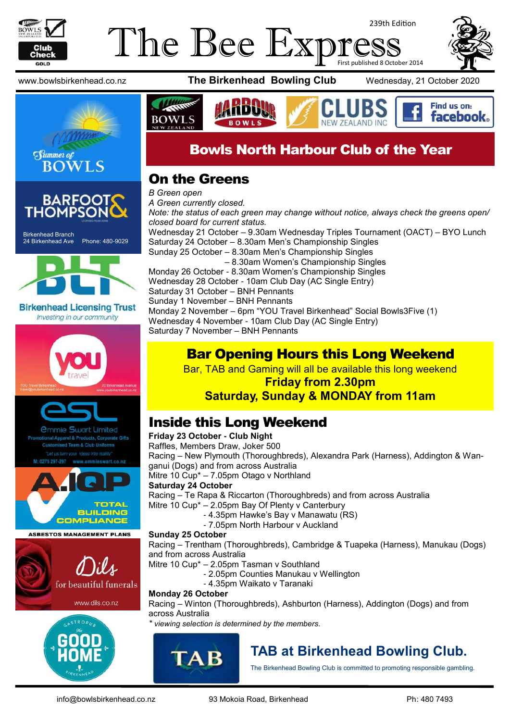

#### The Bee Exp 239th Edition First published 8 October 2014







Birkenhead Branch 24 Birkenhead Ave Phone: 480-9029



**Birkenhead Licensing Trust** Investing in our community





mmie Swart Limited el & Products, Corporate Gifts



**ASBESTOS MANAGEMENT PLANS** 



www.dils.co.nz



www.bowlsbirkenhead.co.nz **The Birkenhead Bowling Club** Wednesday, 21 October 2020



# Bowls North Harbour Club of the Year

#### On the Greens

*B Green open A Green currently closed. Note: the status of each green may change without notice, always check the greens open/ closed board for current status.* Wednesday 21 October – 9.30am Wednesday Triples Tournament (OACT) – BYO Lunch Saturday 24 October – 8.30am Men's Championship Singles Sunday 25 October – 8.30am Men's Championship Singles – 8.30am Women's Championship Singles Monday 26 October - 8.30am Women's Championship Singles Wednesday 28 October - 10am Club Day (AC Single Entry) Saturday 31 October – BNH Pennants Sunday 1 November – BNH Pennants Monday 2 November – 6pm "YOU Travel Birkenhead" Social Bowls3Five (1) Wednesday 4 November - 10am Club Day (AC Single Entry) Saturday 7 November – BNH Pennants

#### Bar Opening Hours this Long Weekend

Bar, TAB and Gaming will all be available this long weekend

#### **Friday from 2.30pm Saturday, Sunday & MONDAY from 11am**

#### Inside this Long Weekend

#### **Friday 23 October - Club Night**

Raffles, Members Draw, Joker 500

Racing – New Plymouth (Thoroughbreds), Alexandra Park (Harness), Addington & Wanganui (Dogs) and from across Australia

Mitre 10 Cup\* – 7.05pm Otago v Northland

#### **Saturday 24 October**

Racing – Te Rapa & Riccarton (Thoroughbreds) and from across Australia Mitre 10 Cup\* – 2.05pm Bay Of Plenty v Canterbury

- 4.35pm Hawke's Bay v Manawatu (RS)
- 7.05pm North Harbour v Auckland

#### **Sunday 25 October**

Racing – Trentham (Thoroughbreds), Cambridge & Tuapeka (Harness), Manukau (Dogs) and from across Australia

Mitre 10 Cup\* – 2.05pm Tasman v Southland

- 2.05pm Counties Manukau v Wellington
- 4.35pm Waikato v Taranaki

#### **Monday 26 October**

Racing – Winton (Thoroughbreds), Ashburton (Harness), Addington (Dogs) and from across Australia

*\* viewing selection is determined by the members.*



# **TAB at Birkenhead Bowling Club.**

The Birkenhead Bowling Club is committed to promoting responsible gambling.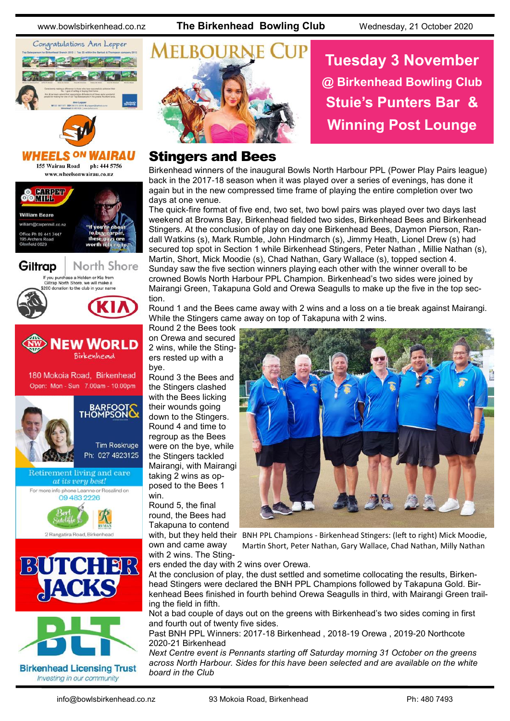



155 Wairau Road ph: 444 5756 www.wheelsonwairau.co.nz









**Birkenhead Licensing Trust** Investing in our community



# **Tuesday 3 November @ Birkenhead Bowling Club Stuie's Punters Bar & Winning Post Lounge**

#### Stingers and Bees

Birkenhead winners of the inaugural Bowls North Harbour PPL (Power Play Pairs league) back in the 2017-18 season when it was played over a series of evenings, has done it again but in the new compressed time frame of playing the entire completion over two days at one venue.

The quick-fire format of five end, two set, two bowl pairs was played over two days last weekend at Browns Bay, Birkenhead fielded two sides, Birkenhead Bees and Birkenhead Stingers. At the conclusion of play on day one Birkenhead Bees, Daymon Pierson, Randall Watkins (s), Mark Rumble, John Hindmarch (s), Jimmy Heath, Lionel Drew (s) had secured top spot in Section 1 while Birkenhead Stingers, Peter Nathan, Millie Nathan (s), Martin, Short, Mick Moodie (s), Chad Nathan, Gary Wallace (s), topped section 4. Sunday saw the five section winners playing each other with the winner overall to be crowned Bowls North Harbour PPL Champion. Birkenhead's two sides were joined by Mairangi Green, Takapuna Gold and Orewa Seagulls to make up the five in the top section.

Round 1 and the Bees came away with 2 wins and a loss on a tie break against Mairangi. While the Stingers came away on top of Takapuna with 2 wins.

Round 2 the Bees took on Orewa and secured 2 wins, while the Stingers rested up with a bye.

Round 3 the Bees and the Stingers clashed with the Bees licking their wounds going down to the Stingers. Round 4 and time to regroup as the Bees were on the bye, while the Stingers tackled Mairangi, with Mairangi taking 2 wins as opposed to the Bees 1 win.

Round 5, the final round, the Bees had Takapuna to contend

own and came away with 2 wins. The Sting-



with, but they held their BNH PPL Champions - Birkenhead Stingers: (left to right) Mick Moodie, Martin Short, Peter Nathan, Gary Wallace, Chad Nathan, Milly Nathan

ers ended the day with 2 wins over Orewa.

At the conclusion of play, the dust settled and sometime collocating the results, Birkenhead Stingers were declared the BNH PPL Champions followed by Takapuna Gold. Birkenhead Bees finished in fourth behind Orewa Seagulls in third, with Mairangi Green trailing the field in fifth.

Not a bad couple of days out on the greens with Birkenhead's two sides coming in first and fourth out of twenty five sides.

Past BNH PPL Winners: 2017-18 Birkenhead , 2018-19 Orewa , 2019-20 Northcote 2020-21 Birkenhead

*Next Centre event is Pennants starting off Saturday morning 31 October on the greens across North Harbour. Sides for this have been selected and are available on the white board in the Club*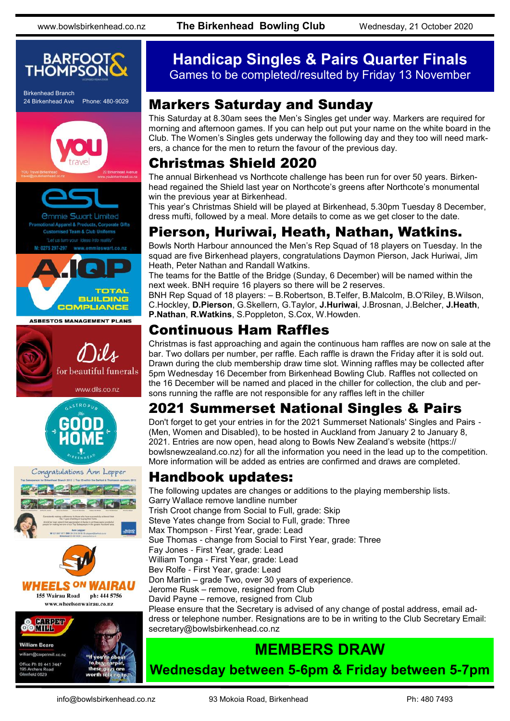

Birkenhead Branch 24 Birkenhead Ave Phone: 480-9029













#### **Handicap Singles & Pairs Quarter Finals** Games to be completed/resulted by Friday 13 November

#### Markers Saturday and Sunday

This Saturday at 8.30am sees the Men's Singles get under way. Markers are required for morning and afternoon games. If you can help out put your name on the white board in the Club. The Women's Singles gets underway the following day and they too will need markers, a chance for the men to return the favour of the previous day.

## Christmas Shield 2020

The annual Birkenhead vs Northcote challenge has been run for over 50 years. Birkenhead regained the Shield last year on Northcote's greens after Northcote's monumental win the previous year at Birkenhead.

This year's Christmas Shield will be played at Birkenhead, 5.30pm Tuesday 8 December, dress mufti, followed by a meal. More details to come as we get closer to the date.

#### Pierson, Huriwai, Heath, Nathan, Watkins.

Bowls North Harbour announced the Men's Rep Squad of 18 players on Tuesday. In the squad are five Birkenhead players, congratulations Daymon Pierson, Jack Huriwai, Jim Heath, Peter Nathan and Randall Watkins.

The teams for the Battle of the Bridge (Sunday, 6 December) will be named within the next week. BNH require 16 players so there will be 2 reserves.

BNH Rep Squad of 18 players: – B.Robertson, B.Telfer, B.Malcolm, B.O'Riley, B.Wilson, C.Hockley, **D.Pierson**, G.Skellern, G.Taylor, **J.Huriwai**, J.Brosnan, J.Belcher, **J.Heath**, **P.Nathan**, **R.Watkins**, S.Poppleton, S.Cox, W.Howden.

#### Continuous Ham Raffles

Christmas is fast approaching and again the continuous ham raffles are now on sale at the bar. Two dollars per number, per raffle. Each raffle is drawn the Friday after it is sold out. Drawn during the club membership draw time slot. Winning raffles may be collected after 5pm Wednesday 16 December from Birkenhead Bowling Club. Raffles not collected on the 16 December will be named and placed in the chiller for collection, the club and persons running the raffle are not responsible for any raffles left in the chiller

# 2021 Summerset National Singles & Pairs

Don't forget to get your entries in for the 2021 Summerset Nationals' Singles and Pairs - (Men, Women and Disabled), to be hosted in Auckland from January 2 to January 8, 2021. Entries are now open, head along to Bowls New Zealand's website (https:// bowlsnewzealand.co.nz) for all the information you need in the lead up to the competition. More information will be added as entries are confirmed and draws are completed.

#### Handbook updates:

The following updates are changes or additions to the playing membership lists. Garry Wallace remove landline number Trish Croot change from Social to Full, grade: Skip Steve Yates change from Social to Full, grade: Three Max Thompson - First Year, grade: Lead Sue Thomas - change from Social to First Year, grade: Three Fay Jones - First Year, grade: Lead William Tonga - First Year, grade: Lead Bev Rolfe - First Year, grade: Lead Don Martin – grade Two, over 30 years of experience. Jerome Rusk – remove, resigned from Club David Payne – remove, resigned from Club Please ensure that the Secretary is advised of any change of postal address, email address or telephone number. Resignations are to be in writing to the Club Secretary Email: secretary@bowlsbirkenhead.co.nz

# **MEMBERS DRAW**

**Wednesday between 5-6pm & Friday between 5-7pm**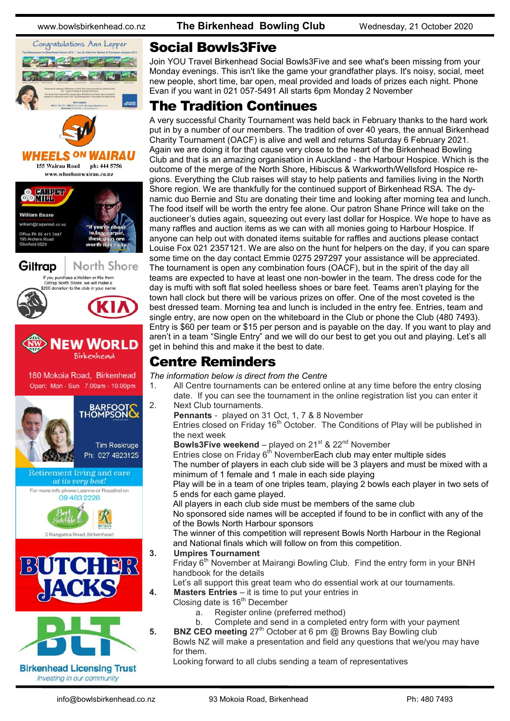

#### Social Bowls3Five

Join YOU Travel Birkenhead Social Bowls3Five and see what's been missing from your Monday evenings. This isn't like the game your grandfather plays. It's noisy, social, meet new people, short time, bar open, meal provided and loads of prizes each night. Phone Evan if you want in 021 057-5491 All starts 6pm Monday 2 November

## The Tradition Continues

A very successful Charity Tournament was held back in February thanks to the hard work put in by a number of our members. The tradition of over 40 years, the annual Birkenhead Charity Tournament (OACF) is alive and well and returns Saturday 6 February 2021. Again we are doing it for that cause very close to the heart of the Birkenhead Bowling Club and that is an amazing organisation in Auckland - the Harbour Hospice. Which is the outcome of the merge of the North Shore, Hibiscus & Warkworth/Wellsford Hospice regions. Everything the Club raises will stay to help patients and families living in the North Shore region. We are thankfully for the continued support of Birkenhead RSA. The dynamic duo Bernie and Stu are donating their time and looking after morning tea and lunch. The food itself will be worth the entry fee alone. Our patron Shane Prince will take on the auctioneer's duties again, squeezing out every last dollar for Hospice. We hope to have as many raffles and auction items as we can with all monies going to Harbour Hospice. If anyone can help out with donated items suitable for raffles and auctions please contact Louise Fox 021 2357121. We are also on the hunt for helpers on the day, if you can spare some time on the day contact Emmie 0275 297297 your assistance will be appreciated. The tournament is open any combination fours (OACF), but in the spirit of the day all teams are expected to have at least one non-bowler in the team. The dress code for the day is mufti with soft flat soled heelless shoes or bare feet. Teams aren't playing for the town hall clock but there will be various prizes on offer. One of the most coveted is the best dressed team. Morning tea and lunch is included in the entry fee. Entries, team and single entry, are now open on the whiteboard in the Club or phone the Club (480 7493). Entry is \$60 per team or \$15 per person and is payable on the day. If you want to play and aren't in a team "Single Entry" and we will do our best to get you out and playing. Let's all get in behind this and make it the best to date.

#### Centre Reminders

*The information below is direct from the Centre*

- 1. All Centre tournaments can be entered online at any time before the entry closing date. If you can see the tournament in the online registration list you can enter it 2. Next Club tournaments.
	- **Pennants** played on 31 Oct, 1, 7 & 8 November Entries closed on Friday  $16<sup>th</sup>$  October. The Conditions of Play will be published in the next week

**Bowls3Five weekend** – played on 21<sup>st</sup> & 22<sup>nd</sup> November

Entries close on Friday  $6<sup>th</sup>$  NovemberEach club may enter multiple sides The number of players in each club side will be 3 players and must be mixed with a minimum of 1 female and 1 male in each side playing

Play will be in a team of one triples team, playing 2 bowls each player in two sets of 5 ends for each game played.

All players in each club side must be members of the same club

No sponsored side names will be accepted if found to be in conflict with any of the of the Bowls North Harbour sponsors

The winner of this competition will represent Bowls North Harbour in the Regional and National finals which will follow on from this competition.

#### **3. Umpires Tournament**

Friday 6<sup>th</sup> November at Mairangi Bowling Club. Find the entry form in your BNH handbook for the details

Let's all support this great team who do essential work at our tournaments.

- **4. Masters Entries** it is time to put your entries in
	- Closing date is 16<sup>th</sup> December
		- a. Register online (preferred method)
		- b. Complete and send in a completed entry form with your payment
- **5. BNZ CEO meeting** 27<sup>th</sup> October at 6 pm @ Browns Bay Bowling club

Bowls NZ will make a presentation and field any questions that we/you may have for them.

Looking forward to all clubs sending a team of representatives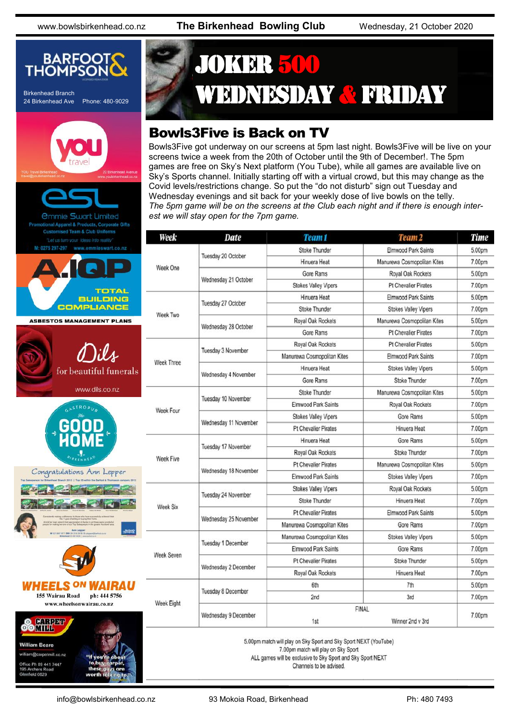![](_page_4_Picture_3.jpeg)

# JOKER 500 WEDNESDAY & FRIDAY

# Bowls3Five is Back on TV

Bowls3Five got underway on our screens at 5pm last night. Bowls3Five will be live on your screens twice a week from the 20th of October until the 9th of December!. The 5pm games are free on Sky's Next platform (You Tube), while all games are available live on Sky's Sports channel. Initially starting off with a virtual crowd, but this may change as the Covid levels/restrictions change. So put the "do not disturb" sign out Tuesday and Wednesday evenings and sit back for your weekly dose of live bowls on the telly. *The 5pm game will be on the screens at the Club each night and if there is enough interest we will stay open for the 7pm game.*

| Week              | <b>Date</b>               | Team 1                                  | Team <sub>2</sub>           | <b>Time</b> |
|-------------------|---------------------------|-----------------------------------------|-----------------------------|-------------|
| Week One          | Tuesday 20 October        | <b>Stoke Thunder</b>                    | Elmwood Park Saints         | 5.00pm      |
|                   |                           | Hinuera Heat                            | Manurewa Cosmopolitan Kites | 7.00pm      |
|                   | Wednesday 21 October      | Gore Rams                               | Royal Oak Rockets           | 5.00pm      |
|                   |                           | <b>Stokes Valley Vipers</b>             | <b>Pt Chevalier Pirates</b> | 7.00pm      |
| Week Two          | Tuesday 27 October        | Hinuera Heat                            | <b>Elmwood Park Saints</b>  | 5.00pm      |
|                   |                           | <b>Stoke Thunder</b>                    | <b>Stokes Valley Vipers</b> | 7.00pm      |
|                   | Wednesday 28 October      | Royal Oak Rockets                       | Manurewa Cosmopolitan Kites | 5.00pm      |
|                   |                           | Gore Rams                               | <b>Pt Chevalier Pirates</b> | 7.00pm      |
| <b>Week Three</b> | Tuesday 3 November        | Royal Oak Rockets                       | <b>Pt Chevalier Pirates</b> | 5.00pm      |
|                   |                           | Manurewa Cosmopolitan Kites             | Elmwood Park Saints         | 7.00pm      |
|                   | Wednesday 4 November      | Hinuera Heat                            | <b>Stokes Valley Vipers</b> | 5.00pm      |
|                   |                           | Gore Rams                               | Stoke Thunder               | 7.00pm      |
| Week Four         | Tuesday 10 November       | <b>Stoke Thunder</b>                    | Manurewa Cosmopolitan Kites | 5.00pm      |
|                   |                           | Elmwood Park Saints                     | Royal Oak Rockets           | 7.00pm      |
|                   | Wednesday 11 November     | <b>Stokes Valley Vipers</b>             | Gore Rams                   | 5.00pm      |
|                   |                           | <b>Pt Chevalier Pirates</b>             | Hinuera Heat                | 7.00pm      |
| Week Five         | Tuesday 17 November       | Hinuera Heat                            | <b>Gore Rams</b>            | 5.00pm      |
|                   |                           | Royal Oak Rockets                       | Stoke Thunder               | 7.00pm      |
|                   | Wednesday 18 November     | <b>Pt Chevalier Pirates</b>             | Manurewa Cosmopolitan Kites | 5.00pm      |
|                   |                           | Elmwood Park Saints                     | <b>Stokes Valley Vipers</b> | 7.00pm      |
| <b>Week Six</b>   | Tuesday 24 November       | <b>Stokes Valley Vipers</b>             | Royal Oak Rockets           | 5.00pm      |
|                   |                           | <b>Stoke Thunder</b>                    | Hinuera Heat                | 7.00pm      |
|                   | Wednesday 25 November     | <b>Pt Chevalier Pirates</b>             | <b>Elmwood Park Saints</b>  | 5.00pm      |
|                   |                           | Manurewa Cosmopolitan Kites             | <b>Gore Rams</b>            | 7.00pm      |
| Week Seven        | <b>Tuesday 1 December</b> | Manurewa Cosmopolitan Kites             | <b>Stokes Valley Vipers</b> | 5.00pm      |
|                   |                           | Elmwood Park Saints                     | Gore Rams                   | 7.00pm      |
|                   | Wednesday 2 December      | <b>Pt Chevalier Pirates</b>             | Stoke Thunder               | 5.00pm      |
|                   |                           | Royal Oak Rockets                       | Hinuera Heat                | 7.00pm      |
| Week Eight        | <b>Tuesday 8 December</b> | 6th                                     | 7th                         | 5.00pm      |
|                   |                           | 2nd                                     | 3rd                         | 7.00pm      |
|                   | Wednesday 9 December      | <b>FINAI</b><br>Winner 2nd v 3rd<br>1st |                             | 7.00pm      |

5.00pm match will play on Sky Sport and Sky Sport NEXT (YouTube) 7.00pm match will play on Sky Sport

ALL games will be exclusive to Sky Sport and Sky Sport NEXT

Channels to be advised.